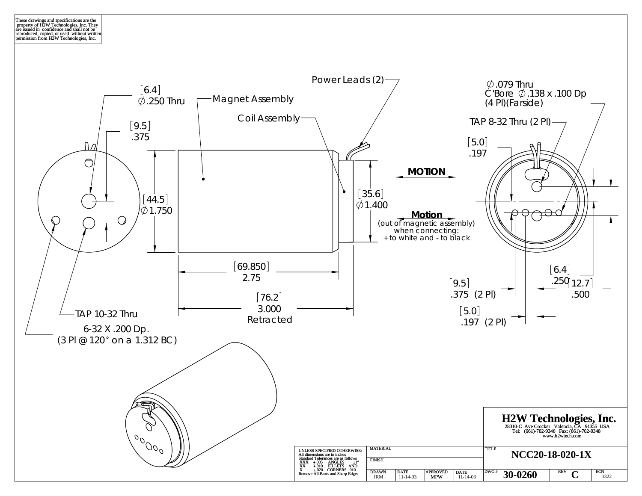